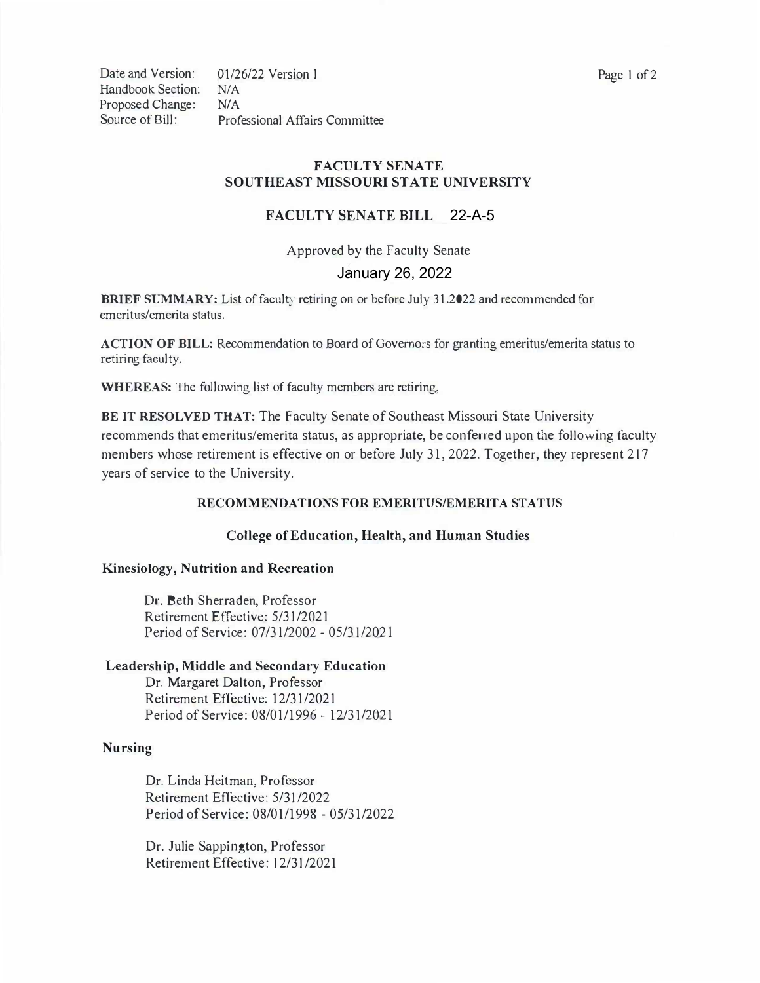Handbook Section: *NIA*  Proposed Change: *NIA* 

Date and Version: 01/26/22 Version l Page 1 of 2 Source of Bill: Professional Affairs Committee

# **FACULTY SENATE SOUTHEAST MISSOURI STATE UNIVERSITY**

## 22-A-5 **FACULTY SENATE BILL**

January 26, 2022 Approved by the Faculty Senate

**BRIEF SUMMARY:** List of faculty retiring on or before July 31.2022 and recommended for emeritus/emerita status.

**ACTION OF BILL:** Recommendation to Board of Governors for granting emeritus/emerita status to retiring faculty.

**WHEREAS:** The following list of faculty members are retiring,

**BE IT RESOLVED THAT:** The Faculty Senate of Southeast Missouri State University recommends that emeritus/emerita status, as appropriate, be conferred upon the following faculty members whose retirement is effective on or before July 31, 2022. Together, they represent 217 years of service to the University.

### **RECOMMENDATIONS FOR EMERITUS/EMERITA STATUS**

### **College of Education, Health, and Human Studies**

### **Kinesiology, Nutrition and Recreation**

Dr. Beth Sherraden, Professor Retirement Effective: 5/31/2021 Period of Service: 07/31/2002 - 05/31/202I

#### **Leadership, Middle and Secondary Education**

Dr. Margaret Dalton, Professor Retirement Effective: 12/31/2021 Period of Service: 08/01/1996 - 12/31/2021

#### **Nursing**

Dr. Linda Heitman, Professor Retirement Effective: 5/3l /2022 Period of Service: 08/01/1998 - 05/31/2022

Dr. Julie Sappington, Professor Retirement Effective: l 2/3l /2021